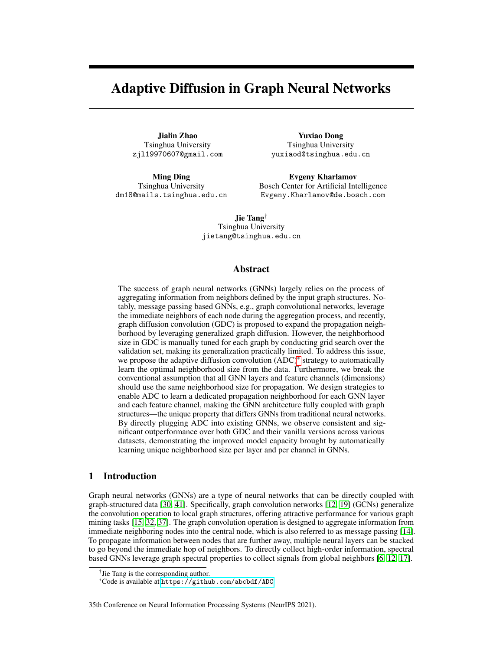# Adaptive Diffusion in Graph Neural Networks

Jialin Zhao Tsinghua University zjl19970607@gmail.com

Ming Ding Tsinghua University dm18@mails.tsinghua.edu.cn

Yuxiao Dong Tsinghua University yuxiaod@tsinghua.edu.cn

Evgeny Kharlamov Bosch Center for Artificial Intelligence Evgeny.Kharlamov@de.bosch.com

Jie Tang† Tsinghua University jietang@tsinghua.edu.cn

# Abstract

The success of graph neural networks (GNNs) largely relies on the process of aggregating information from neighbors defined by the input graph structures. Notably, message passing based GNNs, e.g., graph convolutional networks, leverage the immediate neighbors of each node during the aggregation process, and recently, graph diffusion convolution (GDC) is proposed to expand the propagation neighborhood by leveraging generalized graph diffusion. However, the neighborhood size in GDC is manually tuned for each graph by conducting grid search over the validation set, making its generalization practically limited. To address this issue, we propose the adaptive diffusion convolution (ADC)[\\*](#page-0-0) strategy to automatically learn the optimal neighborhood size from the data. Furthermore, we break the conventional assumption that all GNN layers and feature channels (dimensions) should use the same neighborhood size for propagation. We design strategies to enable ADC to learn a dedicated propagation neighborhood for each GNN layer and each feature channel, making the GNN architecture fully coupled with graph structures—the unique property that differs GNNs from traditional neural networks. By directly plugging ADC into existing GNNs, we observe consistent and significant outperformance over both GDC and their vanilla versions across various datasets, demonstrating the improved model capacity brought by automatically learning unique neighborhood size per layer and per channel in GNNs.

# 1 Introduction

Graph neural networks (GNNs) are a type of neural networks that can be directly coupled with graph-structured data [\[30,](#page-10-0) [41\]](#page-11-0). Specifically, graph convolution networks [\[12,](#page-9-0) [19\]](#page-10-1) (GCNs) generalize the convolution operation to local graph structures, offering attractive performance for various graph mining tasks [\[15,](#page-9-1) [32,](#page-10-2) [37\]](#page-11-1). The graph convolution operation is designed to aggregate information from immediate neighboring nodes into the central node, which is also referred to as message passing [\[14\]](#page-9-2). To propagate information between nodes that are further away, multiple neural layers can be stacked to go beyond the immediate hop of neighbors. To directly collect high-order information, spectral based GNNs leverage graph spectral properties to collect signals from global neighbors [\[6,](#page-9-3) [12,](#page-9-0) [17\]](#page-9-4).

#### 35th Conference on Neural Information Processing Systems (NeurIPS 2021).

<sup>†</sup> Jie Tang is the corresponding author.

<span id="page-0-0"></span><sup>\*</sup>Code is available at <https://github.com/abcbdf/ADC>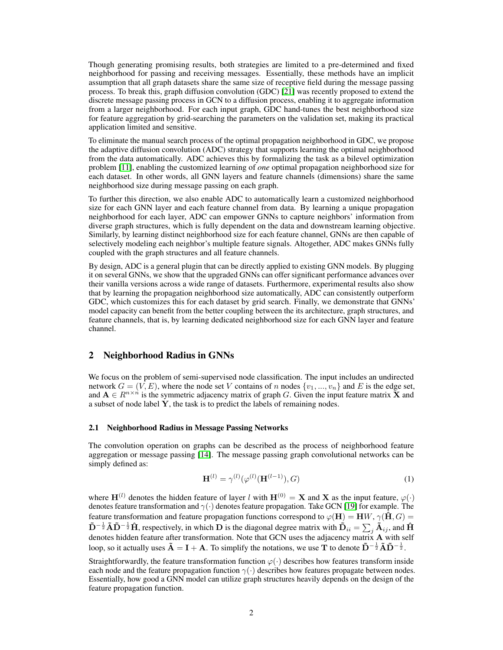Though generating promising results, both strategies are limited to a pre-determined and fixed neighborhood for passing and receiving messages. Essentially, these methods have an implicit assumption that all graph datasets share the same size of receptive field during the message passing process. To break this, graph diffusion convolution (GDC) [\[21\]](#page-10-3) was recently proposed to extend the discrete message passing process in GCN to a diffusion process, enabling it to aggregate information from a larger neighborhood. For each input graph, GDC hand-tunes the best neighborhood size for feature aggregation by grid-searching the parameters on the validation set, making its practical application limited and sensitive.

To eliminate the manual search process of the optimal propagation neighborhood in GDC, we propose the adaptive diffusion convolution (ADC) strategy that supports learning the optimal neighborhood from the data automatically. ADC achieves this by formalizing the task as a bilevel optimization problem [\[11\]](#page-9-5), enabling the customized learning of *one* optimal propagation neighborhood size for each dataset. In other words, all GNN layers and feature channels (dimensions) share the same neighborhood size during message passing on each graph.

To further this direction, we also enable ADC to automatically learn a customized neighborhood size for each GNN layer and each feature channel from data. By learning a unique propagation neighborhood for each layer, ADC can empower GNNs to capture neighbors' information from diverse graph structures, which is fully dependent on the data and downstream learning objective. Similarly, by learning distinct neighborhood size for each feature channel, GNNs are then capable of selectively modeling each neighbor's multiple feature signals. Altogether, ADC makes GNNs fully coupled with the graph structures and all feature channels.

By design, ADC is a general plugin that can be directly applied to existing GNN models. By plugging it on several GNNs, we show that the upgraded GNNs can offer significant performance advances over their vanilla versions across a wide range of datasets. Furthermore, experimental results also show that by learning the propagation neighborhood size automatically, ADC can consistently outperform GDC, which customizes this for each dataset by grid search. Finally, we demonstrate that GNNs' model capacity can benefit from the better coupling between the its architecture, graph structures, and feature channels, that is, by learning dedicated neighborhood size for each GNN layer and feature channel.

## 2 Neighborhood Radius in GNNs

We focus on the problem of semi-supervised node classification. The input includes an undirected network  $G = (V, E)$ , where the node set V contains of n nodes  $\{v_1, ..., v_n\}$  and E is the edge set, and  $A \in R^{n \times n}$  is the symmetric adjacency matrix of graph G. Given the input feature matrix X and a subset of node label Y, the task is to predict the labels of remaining nodes.

#### 2.1 Neighborhood Radius in Message Passing Networks

The convolution operation on graphs can be described as the process of neighborhood feature aggregation or message passing [\[14\]](#page-9-2). The message passing graph convolutional networks can be simply defined as:

<span id="page-1-0"></span>
$$
\mathbf{H}^{(l)} = \gamma^{(l)}(\varphi^{(l)}(\mathbf{H}^{(l-1)}), G) \tag{1}
$$

where  $\mathbf{H}^{(l)}$  denotes the hidden feature of layer l with  $\mathbf{H}^{(0)} = \mathbf{X}$  and X as the input feature,  $\varphi(\cdot)$ denotes feature transformation and  $\gamma(\cdot)$  denotes feature propagation. Take GCN [\[19\]](#page-10-1) for example. The feature transformation and feature propagation functions correspond to  $\varphi(\mathbf{H}) = \mathbf{H}W$ ,  $\gamma(\mathbf{\hat{H}}, G) =$  $\tilde{D}^{-\frac{1}{2}}\tilde{A}\tilde{D}^{-\frac{1}{2}}\hat{H}$ , respectively, in which  $D$  is the diagonal degree matrix with  $\tilde{D}_{ii}=\sum_j \tilde{A}_{ij}$ , and  $\hat{H}$ denotes hidden feature after transformation. Note that GCN uses the adjacency matrix  $\overrightarrow{A}$  with self loop, so it actually uses  $\tilde{A} = I + A$ . To simplify the notations, we use T to denote  $\tilde{D}^{-\frac{1}{2}}\tilde{A}\tilde{D}^{-\frac{1}{2}}$ .

Straightforwardly, the feature transformation function  $\varphi(\cdot)$  describes how features transform inside each node and the feature propagation function  $\gamma(\cdot)$  describes how features propagate between nodes. Essentially, how good a GNN model can utilize graph structures heavily depends on the design of the feature propagation function.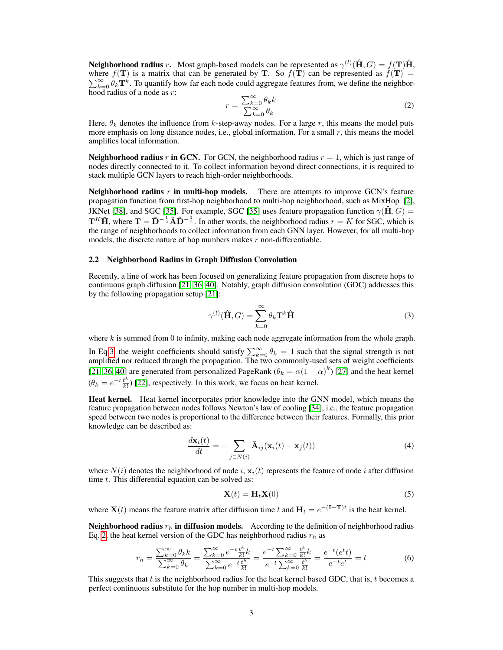**Neighborhood radius** r. Most graph-based models can be represented as  $\gamma^{(l)}(\hat{\mathbf{H}}, G) = f(\mathbf{T})\hat{\mathbf{H}}$ , where  $f(T)$  is a matrix that can be generated by T. So  $f(T)$  can be represented as  $f(T)$  =  $\sum_{k=0}^{\infty} \hat{\theta}_k \mathbf{T}^k$ . To quantify how far each node could aggregate features from, we define the neighbor- $\overline{\text{hood}}$  radius of a node as r:

<span id="page-2-1"></span>
$$
r = \frac{\sum_{k=0}^{\infty} \theta_k k}{\sum_{k=0}^{\infty} \theta_k}
$$
 (2)

Here,  $\theta_k$  denotes the influence from k-step-away nodes. For a large r, this means the model puts more emphasis on long distance nodes, i.e., global information. For a small  $r$ , this means the model amplifies local information.

**Neighborhood radius r in GCN.** For GCN, the neighborhood radius  $r = 1$ , which is just range of nodes directly connected to it. To collect information beyond direct connections, it is required to stack multiple GCN layers to reach high-order neighborhoods.

**Neighborhood radius r in multi-hop models.** There are attempts to improve GCN's feature propagation function from first-hop neighborhood to multi-hop neighborhood, such as MixHop [\[2\]](#page-9-6), JKNet [\[38\]](#page-11-2), and SGC [\[35\]](#page-10-4). For example, SGC [35] uses feature propagation function  $\gamma(\hat{H}, G)$  =  $T^K \hat{H}$ , where  $T = \tilde{D}^{-\frac{1}{2}} \tilde{A} \tilde{D}^{-\frac{1}{2}}$ . In other words, the neighborhood radius  $r = K$  for SGC, which is the range of neighborhoods to collect information from each GNN layer. However, for all multi-hop models, the discrete nature of hop numbers makes  $r$  non-differentiable.

#### 2.2 Neighborhood Radius in Graph Diffusion Convolution

Recently, a line of work has been focused on generalizing feature propagation from discrete hops to continuous graph diffusion [\[21,](#page-10-3) [36,](#page-11-3) [40\]](#page-11-4). Notably, graph diffusion convolution (GDC) addresses this by the following propagation setup [\[21\]](#page-10-3):

<span id="page-2-0"></span>
$$
\gamma^{(l)}(\hat{\mathbf{H}}, G) = \sum_{k=0}^{\infty} \theta_k \mathbf{T}^k \hat{\mathbf{H}} \tag{3}
$$

where k is summed from 0 to infinity, making each node aggregate information from the whole graph. In Eq[.3,](#page-2-0) the weight coefficients should satisfy  $\sum_{k=0}^{\infty} \theta_k = 1$  such that the signal strength is not amplified nor reduced through the propagation. The two commonly-used sets of weight coefficients [\[21,](#page-10-3) [36,](#page-11-3) [40\]](#page-11-4) are generated from personalized PageRank ( $\theta_k = \alpha(1-\alpha)^k$ ) [\[27\]](#page-10-5) and the heat kernel  $(\theta_k = e^{-t} \frac{t^k}{k!}$  $\frac{t^{n}}{k!}$ ) [\[22\]](#page-10-6), respectively. In this work, we focus on heat kernel.

Heat kernel. Heat kernel incorporates prior knowledge into the GNN model, which means the feature propagation between nodes follows Newton's law of cooling [\[34\]](#page-10-7), i.e., the feature propagation speed between two nodes is proportional to the difference between their features. Formally, this prior knowledge can be described as:

<span id="page-2-2"></span>
$$
\frac{d\mathbf{x}_i(t)}{dt} = -\sum_{j \in N(i)} \tilde{\mathbf{A}}_{ij}(\mathbf{x}_i(t) - \mathbf{x}_j(t))
$$
\n(4)

where  $N(i)$  denotes the neighborhood of node i,  $\mathbf{x}_i(t)$  represents the feature of node i after diffusion time  $t$ . This differential equation can be solved as:

$$
\mathbf{X}(t) = \mathbf{H}_t \mathbf{X}(0) \tag{5}
$$

where  $\mathbf{X}(t)$  means the feature matrix after diffusion time t and  $\mathbf{H}_t = e^{-(\mathbf{I}-\mathbf{T})t}$  is the heat kernel.

**Neighborhood radius**  $r_h$  in diffusion models. According to the definition of neighborhood radius Eq. [2,](#page-2-1) the heat kernel version of the GDC has neighborhood radius  $r_h$  as

$$
r_h = \frac{\sum_{k=0}^{\infty} \theta_k k}{\sum_{k=0}^{\infty} \theta_k} = \frac{\sum_{k=0}^{\infty} e^{-t} \frac{t^k}{k!} k}{\sum_{k=0}^{\infty} e^{-t} \frac{t^k}{k!}} = \frac{e^{-t} \sum_{k=0}^{\infty} \frac{t^k}{k!} k}{e^{-t} \sum_{k=0}^{\infty} \frac{t^k}{k!}} = \frac{e^{-t} (e^t t)}{e^{-t} e^t} = t
$$
(6)

This suggests that t is the neighborhood radius for the heat kernel based GDC, that is, t becomes a perfect continuous substitute for the hop number in multi-hop models.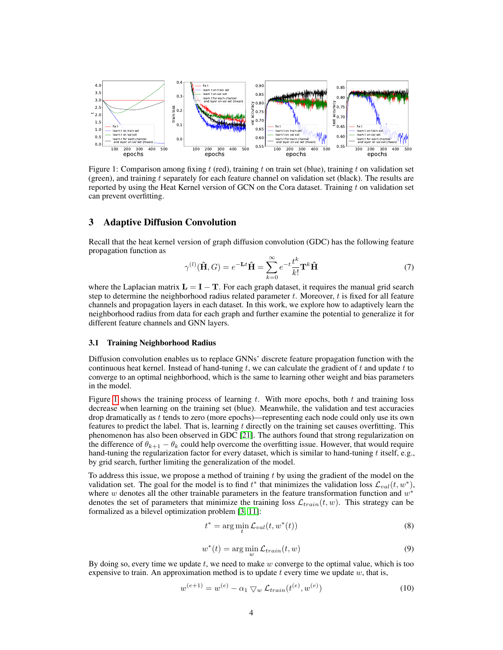<span id="page-3-0"></span>

Figure 1: Comparison among fixing t (red), training t on train set (blue), training t on validation set (green), and training t separately for each feature channel on validation set (black). The results are reported by using the Heat Kernel version of GCN on the Cora dataset. Training t on validation set can prevent overfitting.

## 3 Adaptive Diffusion Convolution

Recall that the heat kernel version of graph diffusion convolution (GDC) has the following feature propagation function as

<span id="page-3-1"></span>
$$
\gamma^{(l)}(\hat{\mathbf{H}}, G) = e^{-\mathbf{L}t}\hat{\mathbf{H}} = \sum_{k=0}^{\infty} e^{-t} \frac{t^k}{k!} \mathbf{T}^k \hat{\mathbf{H}}
$$
(7)

where the Laplacian matrix  $\mathbf{L} = \mathbf{I} - \mathbf{T}$ . For each graph dataset, it requires the manual grid search step to determine the neighborhood radius related parameter  $t$ . Moreover,  $t$  is fixed for all feature channels and propagation layers in each dataset. In this work, we explore how to adaptively learn the neighborhood radius from data for each graph and further examine the potential to generalize it for different feature channels and GNN layers.

## 3.1 Training Neighborhood Radius

Diffusion convolution enables us to replace GNNs' discrete feature propagation function with the continuous heat kernel. Instead of hand-tuning t, we can calculate the gradient of t and update t to converge to an optimal neighborhood, which is the same to learning other weight and bias parameters in the model.

Figure [1](#page-3-0) shows the training process of learning t. With more epochs, both  $t$  and training loss decrease when learning on the training set (blue). Meanwhile, the validation and test accuracies drop dramatically as t tends to zero (more epochs)—representing each node could only use its own features to predict the label. That is, learning t directly on the training set causes overfitting. This phenomenon has also been observed in GDC [\[21\]](#page-10-3). The authors found that strong regularization on the difference of  $\theta_{k+1} - \theta_k$  could help overcome the overfitting issue. However, that would require hand-tuning the regularization factor for every dataset, which is similar to hand-tuning  $t$  itself, e.g., by grid search, further limiting the generalization of the model.

To address this issue, we propose a method of training  $t$  by using the gradient of the model on the validation set. The goal for the model is to find  $t^*$  that minimizes the validation loss  $\mathcal{L}_{val}(t, w^*)$ , where w denotes all the other trainable parameters in the feature transformation function and  $w^*$ denotes the set of parameters that minimize the training loss  $\mathcal{L}_{train}(t, w)$ . This strategy can be formalized as a bilevel optimization problem [\[3,](#page-9-7) [11\]](#page-9-5):

$$
t^* = \arg\min_t \mathcal{L}_{val}(t, w^*(t))
$$
\n(8)

$$
w^*(t) = \arg\min_w \mathcal{L}_{train}(t, w)
$$
\n(9)

By doing so, every time we update  $t$ , we need to make  $w$  converge to the optimal value, which is too expensive to train. An approximation method is to update  $t$  every time we update  $w$ , that is,

$$
w^{(e+1)} = w^{(e)} - \alpha_1 \nabla_w \mathcal{L}_{train}(t^{(e)}, w^{(e)})
$$
\n(10)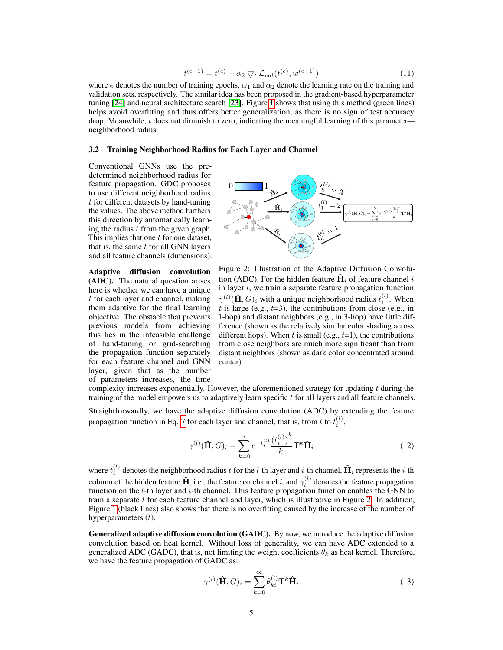$$
t^{(e+1)} = t^{(e)} - \alpha_2 \nabla_t \mathcal{L}_{val}(t^{(e)}, w^{(e+1)})
$$
\n(11)

where e denotes the number of training epochs,  $\alpha_1$  and  $\alpha_2$  denote the learning rate on the training and validation sets, respectively. The similar idea has been proposed in the gradient-based hyperparameter tuning [\[24\]](#page-10-8) and neural architecture search [\[23\]](#page-10-9). Figure [1](#page-3-0) shows that using this method (green lines) helps avoid overfitting and thus offers better generalization, as there is no sign of test accuracy drop. Meanwhile,  $t$  does not diminish to zero, indicating the meaningful learning of this parameter neighborhood radius.

#### 3.2 Training Neighborhood Radius for Each Layer and Channel

Conventional GNNs use the predetermined neighborhood radius for feature propagation. GDC proposes to use different neighborhood radius t for different datasets by hand-tuning the values. The above method furthers this direction by automatically learning the radius  $t$  from the given graph. This implies that one  $t$  for one dataset, that is, the same  $t$  for all GNN layers and all feature channels (dimensions).

Adaptive diffusion convolution (ADC). The natural question arises here is whether we can have a unique t for each layer and channel, making them adaptive for the final learning objective. The obstacle that prevents previous models from achieving this lies in the infeasible challenge of hand-tuning or grid-searching the propagation function separately for each feature channel and GNN layer, given that as the number of parameters increases, the time

<span id="page-4-0"></span>

Figure 2: Illustration of the Adaptive Diffusion Convolution (ADC). For the hidden feature  $\hat{H}_i$  of feature channel i in layer  $l$ , we train a separate feature propagation function  $\gamma^{(l)}(\hat{\mathbf{H}}, G)_i$  with a unique neighborhood radius  $t_i^{(l)}$ . When t is large (e.g.,  $t=3$ ), the contributions from close (e.g., in 1-hop) and distant neighbors (e.g., in 3-hop) have little difference (shown as the relatively similar color shading across different hops). When t is small (e.g.,  $t=1$ ), the contributions from close neighbors are much more significant than from distant neighbors (shown as dark color concentrated around center).

complexity increases exponentially. However, the aforementioned strategy for updating  $t$  during the training of the model empowers us to adaptively learn specific  $t$  for all layers and all feature channels.

Straightforwardly, we have the adaptive diffusion convolution (ADC) by extending the feature propagation function in Eq. [7](#page-3-1) for each layer and channel, that is, from t to  $t_i^{(l)}$ ,

<span id="page-4-1"></span>
$$
\gamma^{(l)}(\hat{\mathbf{H}}, G)_i = \sum_{k=0}^{\infty} e^{-t_i^{(l)}} \frac{(t_i^{(l)})^k}{k!} \mathbf{T}^k \hat{\mathbf{H}}_i
$$
\n(12)

where  $t_i^{(l)}$  denotes the neighborhood radius  $t$  for the l-th layer and i-th channel,  $\hat{H}_i$  represents the i-th column of the hidden feature  $\hat{\bf H}$ , i.e., the feature on channel  $i$ , and  $\gamma_i^{(l)}$  denotes the feature propagation function on the  $l$ -th layer and  $i$ -th channel. This feature propagation function enables the GNN to train a separate  $t$  for each feature channel and layer, which is illustrative in Figure [2.](#page-4-0) In addition, Figure [1](#page-3-0) (black lines) also shows that there is no overfitting caused by the increase of the number of hyperparameters  $(t)$ .

Generalized adaptive diffusion convolution (GADC). By now, we introduce the adaptive diffusion convolution based on heat kernel. Without loss of generality, we can have ADC extended to a generalized ADC (GADC), that is, not limiting the weight coefficients  $\theta_k$  as heat kernel. Therefore, we have the feature propagation of GADC as:

<span id="page-4-2"></span>
$$
\gamma^{(l)}(\hat{\mathbf{H}}, G)_i = \sum_{k=0}^{\infty} \theta_{ki}^{(l)} \mathbf{T}^k \hat{\mathbf{H}}_i
$$
\n(13)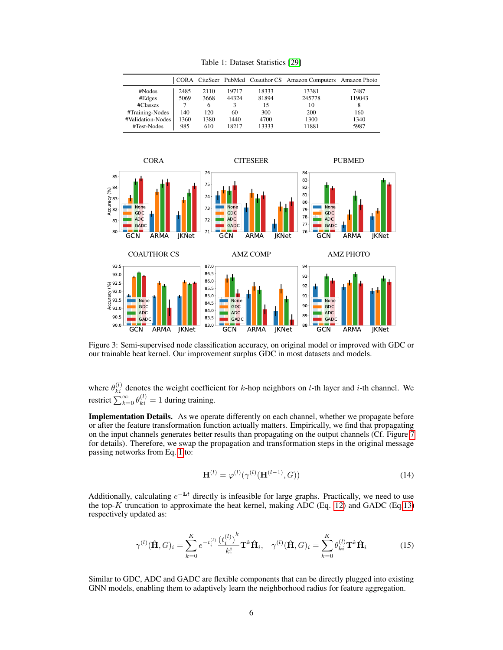<span id="page-5-0"></span>

|                                      |              |              |                |                | CORA CiteSeer PubMed Coauthor CS Amazon Computers Amazon Photo |                |
|--------------------------------------|--------------|--------------|----------------|----------------|----------------------------------------------------------------|----------------|
| #Nodes<br>#Edges                     | 2485<br>5069 | 2110<br>3668 | 19717<br>44324 | 18333<br>81894 | 13381<br>245778                                                | 7487<br>119043 |
| #Classes                             |              | 6            |                | 15             | 10                                                             | 8              |
| #Training-Nodes<br>#Validation-Nodes | 140<br>1360  | 120<br>1380  | 60<br>1440     | 300<br>4700    | 200<br>1300                                                    | 160<br>1340    |
| #Test-Nodes                          | 985          | 610          | 18217          | 13333          | 11881                                                          | 5987           |

Table 1: Dataset Statistics [\[29\]](#page-10-10)

<span id="page-5-2"></span>

Figure 3: Semi-supervised node classification accuracy, on original model or improved with GDC or our trainable heat kernel. Our improvement surplus GDC in most datasets and models.

where  $\theta_{ki}^{(l)}$  denotes the weight coefficient for k-hop neighbors on l-th layer and i-th channel. We restrict  $\sum_{k=0}^{\infty} \theta_{ki}^{(l)} = 1$  during training.

Implementation Details. As we operate differently on each channel, whether we propagate before or after the feature transformation function actually matters. Empirically, we find that propagating on the input channels generates better results than propagating on the output channels (Cf. Figure [7](#page-7-0) for details). Therefore, we swap the propagation and transformation steps in the original message passing networks from Eq. [1](#page-1-0) to:

<span id="page-5-3"></span>
$$
\mathbf{H}^{(l)} = \varphi^{(l)}(\gamma^{(l)}(\mathbf{H}^{(l-1)}, G))
$$
\n(14)

Additionally, calculating  $e^{-\mathbf{L}t}$  directly is infeasible for large graphs. Practically, we need to use the top- $K$  truncation to approximate the heat kernel, making ADC (Eq. [12\)](#page-4-1) and GADC (Eq[.13\)](#page-4-2) respectively updated as:

<span id="page-5-1"></span>
$$
\gamma^{(l)}(\hat{\mathbf{H}}, G)_i = \sum_{k=0}^K e^{-t_i^{(l)}} \frac{(t_i^{(l)})^k}{k!} \mathbf{T}^k \hat{\mathbf{H}}_i, \quad \gamma^{(l)}(\hat{\mathbf{H}}, G)_i = \sum_{k=0}^K \theta_{ki}^{(l)} \mathbf{T}^k \hat{\mathbf{H}}_i
$$
(15)

Similar to GDC, ADC and GADC are flexible components that can be directly plugged into existing GNN models, enabling them to adaptively learn the neighborhood radius for feature aggregation.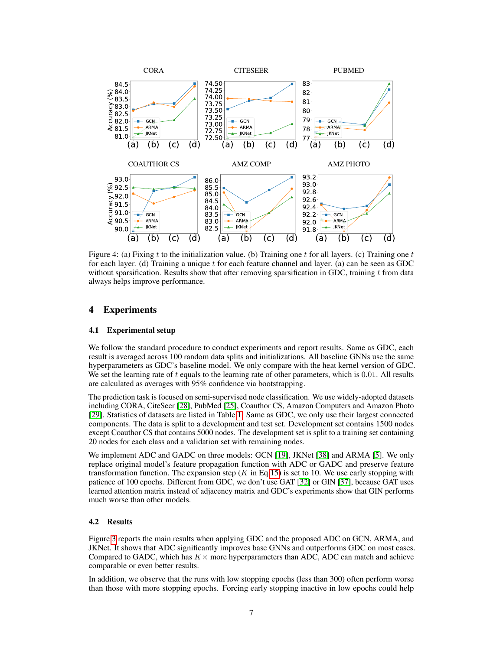<span id="page-6-0"></span>

Figure 4: (a) Fixing t to the initialization value. (b) Training one t for all layers. (c) Training one t for each layer. (d) Training a unique  $t$  for each feature channel and layer. (a) can be seen as GDC without sparsification. Results show that after removing sparsification in GDC, training  $t$  from data always helps improve performance.

# 4 Experiments

#### <span id="page-6-2"></span>4.1 Experimental setup

We follow the standard procedure to conduct experiments and report results. Same as GDC, each result is averaged across 100 random data splits and initializations. All baseline GNNs use the same hyperparameters as GDC's baseline model. We only compare with the heat kernel version of GDC. We set the learning rate of t equals to the learning rate of other parameters, which is 0.01. All results are calculated as averages with 95% confidence via bootstrapping.

The prediction task is focused on semi-supervised node classification. We use widely-adopted datasets including CORA, CiteSeer [\[28\]](#page-10-11), PubMed [\[25\]](#page-10-12), Coauthor CS, Amazon Computers and Amazon Photo [\[29\]](#page-10-10). Statistics of datasets are listed in Table [1.](#page-5-0) Same as GDC, we only use their largest connected components. The data is split to a development and test set. Development set contains 1500 nodes except Coauthor CS that contains 5000 nodes. The development set is split to a training set containing 20 nodes for each class and a validation set with remaining nodes.

We implement ADC and GADC on three models: GCN [\[19\]](#page-10-1), JKNet [\[38\]](#page-11-2) and ARMA [\[5\]](#page-9-8). We only replace original model's feature propagation function with ADC or GADC and preserve feature transformation function. The expansion step  $(K$  in Eq[.15\)](#page-5-1) is set to 10. We use early stopping with patience of 100 epochs. Different from GDC, we don't use GAT [\[32\]](#page-10-2) or GIN [\[37\]](#page-11-1), because GAT uses learned attention matrix instead of adjacency matrix and GDC's experiments show that GIN performs much worse than other models.

#### <span id="page-6-1"></span>4.2 Results

Figure [3](#page-5-2) reports the main results when applying GDC and the proposed ADC on GCN, ARMA, and JKNet. It shows that ADC significantly improves base GNNs and outperforms GDC on most cases. Compared to GADC, which has  $K \times$  more hyperparameters than ADC, ADC can match and achieve comparable or even better results.

In addition, we observe that the runs with low stopping epochs (less than 300) often perform worse than those with more stopping epochs. Forcing early stopping inactive in low epochs could help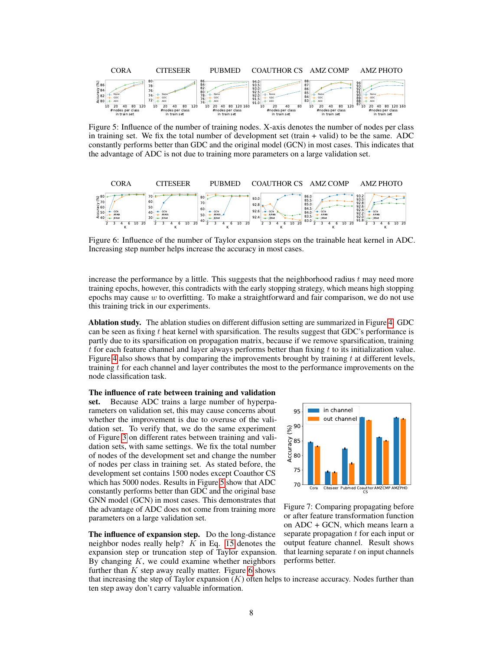<span id="page-7-1"></span>

Figure 5: Influence of the number of training nodes. X-axis denotes the number of nodes per class in training set. We fix the total number of development set (train + valid) to be the same. ADC constantly performs better than GDC and the original model (GCN) in most cases. This indicates that the advantage of ADC is not due to training more parameters on a large validation set.

<span id="page-7-2"></span>

Figure 6: Influence of the number of Taylor expansion steps on the trainable heat kernel in ADC. Increasing step number helps increase the accuracy in most cases.

increase the performance by a little. This suggests that the neighborhood radius  $t$  may need more training epochs, however, this contradicts with the early stopping strategy, which means high stopping epochs may cause  $w$  to overfitting. To make a straightforward and fair comparison, we do not use this training trick in our experiments.

Ablation study. The ablation studies on different diffusion setting are summarized in Figure [4.](#page-6-0) GDC can be seen as fixing  $t$  heat kernel with sparsification. The results suggest that GDC's performance is partly due to its sparsification on propagation matrix, because if we remove sparsification, training  $t$  for each feature channel and layer always performs better than fixing  $t$  to its initialization value. Figure [4](#page-6-0) also shows that by comparing the improvements brought by training  $t$  at different levels, training  $t$  for each channel and layer contributes the most to the performance improvements on the node classification task.

#### The influence of rate between training and validation

set. Because ADC trains a large number of hyperparameters on validation set, this may cause concerns about whether the improvement is due to overuse of the validation set. To verify that, we do the same experiment of Figure [3](#page-5-2) on different rates between training and validation sets, with same settings. We fix the total number of nodes of the development set and change the number of nodes per class in training set. As stated before, the development set contains 1500 nodes except Coauthor CS which has 5000 nodes. Results in Figure [5](#page-7-1) show that ADC constantly performs better than GDC and the original base GNN model (GCN) in most cases. This demonstrates that the advantage of ADC does not come from training more parameters on a large validation set.

The influence of expansion step. Do the long-distance neighbor nodes really help?  $K$  in Eq. [15](#page-5-1) denotes the expansion step or truncation step of Taylor expansion. By changing  $K$ , we could examine whether neighbors further than  $K$  step away really matter. Figure [6](#page-7-2) shows

<span id="page-7-0"></span>

Figure 7: Comparing propagating before or after feature transformation function on ADC + GCN, which means learn a separate propagation  $t$  for each input or output feature channel. Result shows that learning separate  $t$  on input channels performs better.

that increasing the step of Taylor expansion  $(K)$  often helps to increase accuracy. Nodes further than ten step away don't carry valuable information.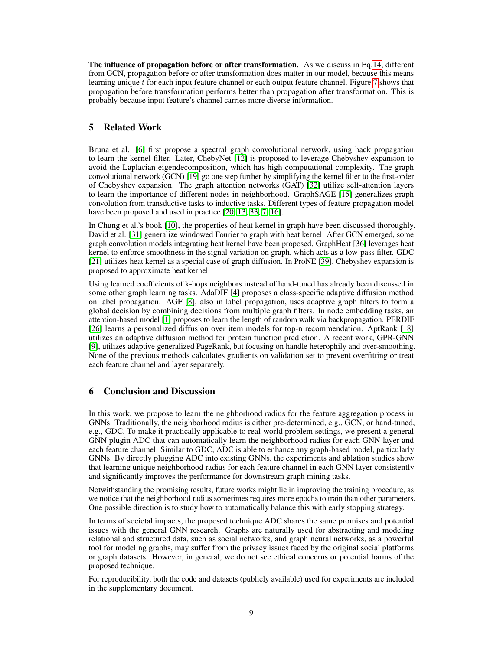The influence of propagation before or after transformation. As we discuss in Eq[.14,](#page-5-3) different from GCN, propagation before or after transformation does matter in our model, because this means learning unique  $t$  for each input feature channel or each output feature channel. Figure  $\tau$  shows that propagation before transformation performs better than propagation after transformation. This is probably because input feature's channel carries more diverse information.

# 5 Related Work

Bruna et al. [\[6\]](#page-9-3) first propose a spectral graph convolutional network, using back propagation to learn the kernel filter. Later, ChebyNet [\[12\]](#page-9-0) is proposed to leverage Chebyshev expansion to avoid the Laplacian eigendecomposition, which has high computational complexity. The graph convolutional network (GCN) [\[19\]](#page-10-1) go one step further by simplifying the kernel filter to the first-order of Chebyshev expansion. The graph attention networks (GAT) [\[32\]](#page-10-2) utilize self-attention layers to learn the importance of different nodes in neighborhood. GraphSAGE [\[15\]](#page-9-1) generalizes graph convolution from transductive tasks to inductive tasks. Different types of feature propagation model have been proposed and used in practice [\[20,](#page-10-13) [13,](#page-9-9) [33,](#page-10-14) [7,](#page-9-10) [16\]](#page-9-11).

In Chung et al.'s book [\[10\]](#page-9-12), the properties of heat kernel in graph have been discussed thoroughly. David et al. [\[31\]](#page-10-15) generalize windowed Fourier to graph with heat kernel. After GCN emerged, some graph convolution models integrating heat kernel have been proposed. GraphHeat [\[36\]](#page-11-3) leverages heat kernel to enforce smoothness in the signal variation on graph, which acts as a low-pass filter. GDC [\[21\]](#page-10-3) utilizes heat kernel as a special case of graph diffusion. In ProNE [\[39\]](#page-11-5), Chebyshev expansion is proposed to approximate heat kernel.

Using learned coefficients of k-hops neighbors instead of hand-tuned has already been discussed in some other graph learning tasks. AdaDIF [\[4\]](#page-9-13) proposes a class-specific adaptive diffusion method on label propagation. AGF [\[8\]](#page-9-14), also in label propagation, uses adaptive graph filters to form a global decision by combining decisions from multiple graph filters. In node embedding tasks, an attention-based model [\[1\]](#page-9-15) proposes to learn the length of random walk via backpropagation. PERDIF [\[26\]](#page-10-16) learns a personalized diffusion over item models for top-n recommendation. AptRank [\[18\]](#page-10-17) utilizes an adaptive diffusion method for protein function prediction. A recent work, GPR-GNN [\[9\]](#page-9-16), utilizes adaptive generalized PageRank, but focusing on handle heterophily and over-smoothing. None of the previous methods calculates gradients on validation set to prevent overfitting or treat each feature channel and layer separately.

# 6 Conclusion and Discussion

In this work, we propose to learn the neighborhood radius for the feature aggregation process in GNNs. Traditionally, the neighborhood radius is either pre-determined, e.g., GCN, or hand-tuned, e.g., GDC. To make it practically applicable to real-world problem settings, we present a general GNN plugin ADC that can automatically learn the neighborhood radius for each GNN layer and each feature channel. Similar to GDC, ADC is able to enhance any graph-based model, particularly GNNs. By directly plugging ADC into existing GNNs, the experiments and ablation studies show that learning unique neighborhood radius for each feature channel in each GNN layer consistently and significantly improves the performance for downstream graph mining tasks.

Notwithstanding the promising results, future works might lie in improving the training procedure, as we notice that the neighborhood radius sometimes requires more epochs to train than other parameters. One possible direction is to study how to automatically balance this with early stopping strategy.

In terms of societal impacts, the proposed technique ADC shares the same promises and potential issues with the general GNN research. Graphs are naturally used for abstracting and modeling relational and structured data, such as social networks, and graph neural networks, as a powerful tool for modeling graphs, may suffer from the privacy issues faced by the original social platforms or graph datasets. However, in general, we do not see ethical concerns or potential harms of the proposed technique.

For reproducibility, both the code and datasets (publicly available) used for experiments are included in the supplementary document.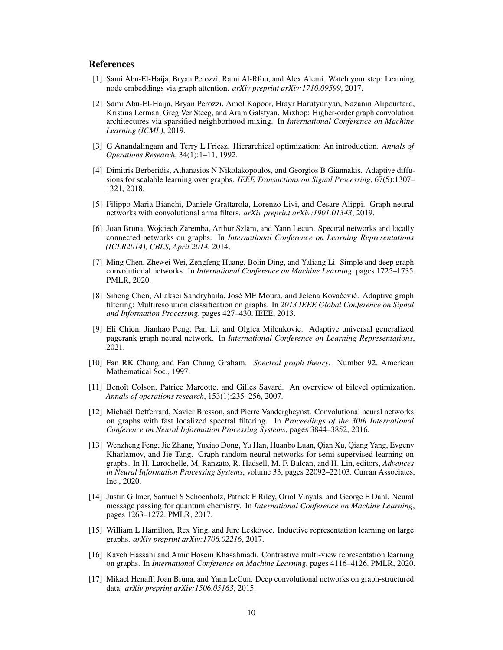# **References**

- <span id="page-9-15"></span>[1] Sami Abu-El-Haija, Bryan Perozzi, Rami Al-Rfou, and Alex Alemi. Watch your step: Learning node embeddings via graph attention. *arXiv preprint arXiv:1710.09599*, 2017.
- <span id="page-9-6"></span>[2] Sami Abu-El-Haija, Bryan Perozzi, Amol Kapoor, Hrayr Harutyunyan, Nazanin Alipourfard, Kristina Lerman, Greg Ver Steeg, and Aram Galstyan. Mixhop: Higher-order graph convolution architectures via sparsified neighborhood mixing. In *International Conference on Machine Learning (ICML)*, 2019.
- <span id="page-9-7"></span>[3] G Anandalingam and Terry L Friesz. Hierarchical optimization: An introduction. *Annals of Operations Research*, 34(1):1–11, 1992.
- <span id="page-9-13"></span>[4] Dimitris Berberidis, Athanasios N Nikolakopoulos, and Georgios B Giannakis. Adaptive diffusions for scalable learning over graphs. *IEEE Transactions on Signal Processing*, 67(5):1307– 1321, 2018.
- <span id="page-9-8"></span>[5] Filippo Maria Bianchi, Daniele Grattarola, Lorenzo Livi, and Cesare Alippi. Graph neural networks with convolutional arma filters. *arXiv preprint arXiv:1901.01343*, 2019.
- <span id="page-9-3"></span>[6] Joan Bruna, Wojciech Zaremba, Arthur Szlam, and Yann Lecun. Spectral networks and locally connected networks on graphs. In *International Conference on Learning Representations (ICLR2014), CBLS, April 2014*, 2014.
- <span id="page-9-10"></span>[7] Ming Chen, Zhewei Wei, Zengfeng Huang, Bolin Ding, and Yaliang Li. Simple and deep graph convolutional networks. In *International Conference on Machine Learning*, pages 1725–1735. PMLR, 2020.
- <span id="page-9-14"></span>[8] Siheng Chen, Aliaksei Sandryhaila, José MF Moura, and Jelena Kovačević. Adaptive graph filtering: Multiresolution classification on graphs. In *2013 IEEE Global Conference on Signal and Information Processing*, pages 427–430. IEEE, 2013.
- <span id="page-9-16"></span>[9] Eli Chien, Jianhao Peng, Pan Li, and Olgica Milenkovic. Adaptive universal generalized pagerank graph neural network. In *International Conference on Learning Representations*, 2021.
- <span id="page-9-12"></span>[10] Fan RK Chung and Fan Chung Graham. *Spectral graph theory*. Number 92. American Mathematical Soc., 1997.
- <span id="page-9-5"></span>[11] Benoît Colson, Patrice Marcotte, and Gilles Savard. An overview of bilevel optimization. *Annals of operations research*, 153(1):235–256, 2007.
- <span id="page-9-0"></span>[12] Michaël Defferrard, Xavier Bresson, and Pierre Vandergheynst. Convolutional neural networks on graphs with fast localized spectral filtering. In *Proceedings of the 30th International Conference on Neural Information Processing Systems*, pages 3844–3852, 2016.
- <span id="page-9-9"></span>[13] Wenzheng Feng, Jie Zhang, Yuxiao Dong, Yu Han, Huanbo Luan, Qian Xu, Qiang Yang, Evgeny Kharlamov, and Jie Tang. Graph random neural networks for semi-supervised learning on graphs. In H. Larochelle, M. Ranzato, R. Hadsell, M. F. Balcan, and H. Lin, editors, *Advances in Neural Information Processing Systems*, volume 33, pages 22092–22103. Curran Associates, Inc., 2020.
- <span id="page-9-2"></span>[14] Justin Gilmer, Samuel S Schoenholz, Patrick F Riley, Oriol Vinyals, and George E Dahl. Neural message passing for quantum chemistry. In *International Conference on Machine Learning*, pages 1263–1272. PMLR, 2017.
- <span id="page-9-1"></span>[15] William L Hamilton, Rex Ying, and Jure Leskovec. Inductive representation learning on large graphs. *arXiv preprint arXiv:1706.02216*, 2017.
- <span id="page-9-11"></span>[16] Kaveh Hassani and Amir Hosein Khasahmadi. Contrastive multi-view representation learning on graphs. In *International Conference on Machine Learning*, pages 4116–4126. PMLR, 2020.
- <span id="page-9-4"></span>[17] Mikael Henaff, Joan Bruna, and Yann LeCun. Deep convolutional networks on graph-structured data. *arXiv preprint arXiv:1506.05163*, 2015.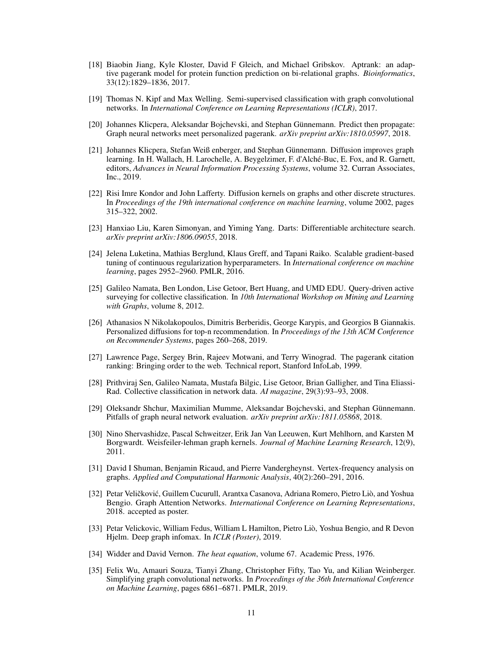- <span id="page-10-17"></span>[18] Biaobin Jiang, Kyle Kloster, David F Gleich, and Michael Gribskov. Aptrank: an adaptive pagerank model for protein function prediction on bi-relational graphs. *Bioinformatics*, 33(12):1829–1836, 2017.
- <span id="page-10-1"></span>[19] Thomas N. Kipf and Max Welling. Semi-supervised classification with graph convolutional networks. In *International Conference on Learning Representations (ICLR)*, 2017.
- <span id="page-10-13"></span>[20] Johannes Klicpera, Aleksandar Bojchevski, and Stephan Günnemann. Predict then propagate: Graph neural networks meet personalized pagerank. *arXiv preprint arXiv:1810.05997*, 2018.
- <span id="page-10-3"></span>[21] Johannes Klicpera, Stefan Weiß enberger, and Stephan Günnemann. Diffusion improves graph learning. In H. Wallach, H. Larochelle, A. Beygelzimer, F. d'Alché-Buc, E. Fox, and R. Garnett, editors, *Advances in Neural Information Processing Systems*, volume 32. Curran Associates, Inc., 2019.
- <span id="page-10-6"></span>[22] Risi Imre Kondor and John Lafferty. Diffusion kernels on graphs and other discrete structures. In *Proceedings of the 19th international conference on machine learning*, volume 2002, pages 315–322, 2002.
- <span id="page-10-9"></span>[23] Hanxiao Liu, Karen Simonyan, and Yiming Yang. Darts: Differentiable architecture search. *arXiv preprint arXiv:1806.09055*, 2018.
- <span id="page-10-8"></span>[24] Jelena Luketina, Mathias Berglund, Klaus Greff, and Tapani Raiko. Scalable gradient-based tuning of continuous regularization hyperparameters. In *International conference on machine learning*, pages 2952–2960. PMLR, 2016.
- <span id="page-10-12"></span>[25] Galileo Namata, Ben London, Lise Getoor, Bert Huang, and UMD EDU. Query-driven active surveying for collective classification. In *10th International Workshop on Mining and Learning with Graphs*, volume 8, 2012.
- <span id="page-10-16"></span>[26] Athanasios N Nikolakopoulos, Dimitris Berberidis, George Karypis, and Georgios B Giannakis. Personalized diffusions for top-n recommendation. In *Proceedings of the 13th ACM Conference on Recommender Systems*, pages 260–268, 2019.
- <span id="page-10-5"></span>[27] Lawrence Page, Sergey Brin, Rajeev Motwani, and Terry Winograd. The pagerank citation ranking: Bringing order to the web. Technical report, Stanford InfoLab, 1999.
- <span id="page-10-11"></span>[28] Prithviraj Sen, Galileo Namata, Mustafa Bilgic, Lise Getoor, Brian Galligher, and Tina Eliassi-Rad. Collective classification in network data. *AI magazine*, 29(3):93–93, 2008.
- <span id="page-10-10"></span>[29] Oleksandr Shchur, Maximilian Mumme, Aleksandar Bojchevski, and Stephan Günnemann. Pitfalls of graph neural network evaluation. *arXiv preprint arXiv:1811.05868*, 2018.
- <span id="page-10-0"></span>[30] Nino Shervashidze, Pascal Schweitzer, Erik Jan Van Leeuwen, Kurt Mehlhorn, and Karsten M Borgwardt. Weisfeiler-lehman graph kernels. *Journal of Machine Learning Research*, 12(9), 2011.
- <span id="page-10-15"></span>[31] David I Shuman, Benjamin Ricaud, and Pierre Vandergheynst. Vertex-frequency analysis on graphs. *Applied and Computational Harmonic Analysis*, 40(2):260–291, 2016.
- <span id="page-10-2"></span>[32] Petar Veličković, Guillem Cucurull, Arantxa Casanova, Adriana Romero, Pietro Liò, and Yoshua Bengio. Graph Attention Networks. *International Conference on Learning Representations*, 2018. accepted as poster.
- <span id="page-10-14"></span>[33] Petar Velickovic, William Fedus, William L Hamilton, Pietro Liò, Yoshua Bengio, and R Devon Hjelm. Deep graph infomax. In *ICLR (Poster)*, 2019.
- <span id="page-10-7"></span>[34] Widder and David Vernon. *The heat equation*, volume 67. Academic Press, 1976.
- <span id="page-10-4"></span>[35] Felix Wu, Amauri Souza, Tianyi Zhang, Christopher Fifty, Tao Yu, and Kilian Weinberger. Simplifying graph convolutional networks. In *Proceedings of the 36th International Conference on Machine Learning*, pages 6861–6871. PMLR, 2019.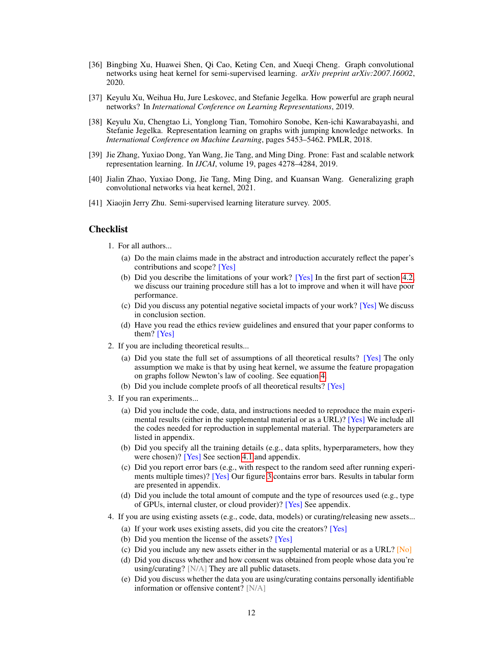- <span id="page-11-3"></span>[36] Bingbing Xu, Huawei Shen, Qi Cao, Keting Cen, and Xueqi Cheng. Graph convolutional networks using heat kernel for semi-supervised learning. *arXiv preprint arXiv:2007.16002*, 2020.
- <span id="page-11-1"></span>[37] Keyulu Xu, Weihua Hu, Jure Leskovec, and Stefanie Jegelka. How powerful are graph neural networks? In *International Conference on Learning Representations*, 2019.
- <span id="page-11-2"></span>[38] Keyulu Xu, Chengtao Li, Yonglong Tian, Tomohiro Sonobe, Ken-ichi Kawarabayashi, and Stefanie Jegelka. Representation learning on graphs with jumping knowledge networks. In *International Conference on Machine Learning*, pages 5453–5462. PMLR, 2018.
- <span id="page-11-5"></span>[39] Jie Zhang, Yuxiao Dong, Yan Wang, Jie Tang, and Ming Ding. Prone: Fast and scalable network representation learning. In *IJCAI*, volume 19, pages 4278–4284, 2019.
- <span id="page-11-4"></span>[40] Jialin Zhao, Yuxiao Dong, Jie Tang, Ming Ding, and Kuansan Wang. Generalizing graph convolutional networks via heat kernel, 2021.
- <span id="page-11-0"></span>[41] Xiaojin Jerry Zhu. Semi-supervised learning literature survey. 2005.

# **Checklist**

1. For all authors...

- (a) Do the main claims made in the abstract and introduction accurately reflect the paper's contributions and scope? [Yes]
- (b) Did you describe the limitations of your work? [Yes] In the first part of section [4.2,](#page-6-1) we discuss our training procedure still has a lot to improve and when it will have poor performance.
- (c) Did you discuss any potential negative societal impacts of your work? [Yes] We discuss in conclusion section.
- (d) Have you read the ethics review guidelines and ensured that your paper conforms to them? [Yes]
- 2. If you are including theoretical results...
	- (a) Did you state the full set of assumptions of all theoretical results? [Yes] The only assumption we make is that by using heat kernel, we assume the feature propagation on graphs follow Newton's law of cooling. See equation [4.](#page-2-2)
	- (b) Did you include complete proofs of all theoretical results? [Yes]
- 3. If you ran experiments...
	- (a) Did you include the code, data, and instructions needed to reproduce the main experimental results (either in the supplemental material or as a URL)? [Yes] We include all the codes needed for reproduction in supplemental material. The hyperparameters are listed in appendix.
	- (b) Did you specify all the training details (e.g., data splits, hyperparameters, how they were chosen)? [Yes] See section [4.1](#page-6-2) and appendix.
	- (c) Did you report error bars (e.g., with respect to the random seed after running experiments multiple times)? [Yes] Our figure [3](#page-5-2) contains error bars. Results in tabular form are presented in appendix.
	- (d) Did you include the total amount of compute and the type of resources used (e.g., type of GPUs, internal cluster, or cloud provider)? [Yes] See appendix.
- 4. If you are using existing assets (e.g., code, data, models) or curating/releasing new assets...
	- (a) If your work uses existing assets, did you cite the creators? [Yes]
	- (b) Did you mention the license of the assets? [Yes]
	- (c) Did you include any new assets either in the supplemental material or as a URL? [No]
	- (d) Did you discuss whether and how consent was obtained from people whose data you're using/curating? [N/A] They are all public datasets.
	- (e) Did you discuss whether the data you are using/curating contains personally identifiable information or offensive content? [N/A]